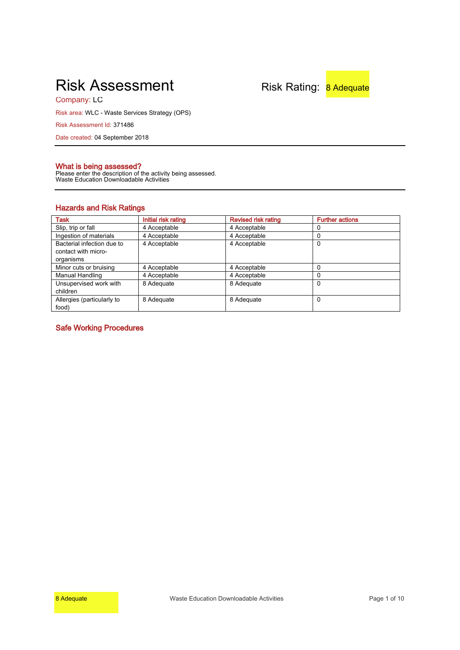# Risk Assessment Risk Rating: 8 Adequate

Company: LC

Risk area: WLC - Waste Services Strategy (OPS)

Risk Assessment Id: 371486

Date created: 04 September 2018

# **What is being assessed?**

Please enter the description of the activity being assessed. Waste Education Downloadable Activities

# **Hazards and Risk Ratings**

| Task                       | Initial risk rating | <b>Revised risk rating</b> | <b>Further actions</b> |
|----------------------------|---------------------|----------------------------|------------------------|
| Slip, trip or fall         | 4 Acceptable        | 4 Acceptable               |                        |
| Ingestion of materials     | 4 Acceptable        | 4 Acceptable               |                        |
| Bacterial infection due to | 4 Acceptable        | 4 Acceptable               | 0                      |
| contact with micro-        |                     |                            |                        |
| organisms                  |                     |                            |                        |
| Minor cuts or bruising     | 4 Acceptable        | 4 Acceptable               | 0                      |
| Manual Handling            | 4 Acceptable        | 4 Acceptable               | 0                      |
| Unsupervised work with     | 8 Adequate          | 8 Adequate                 | 0                      |
| children                   |                     |                            |                        |
| Allergies (particularly to | 8 Adequate          | 8 Adequate                 | 0                      |
| food)                      |                     |                            |                        |

**Safe Working Procedures**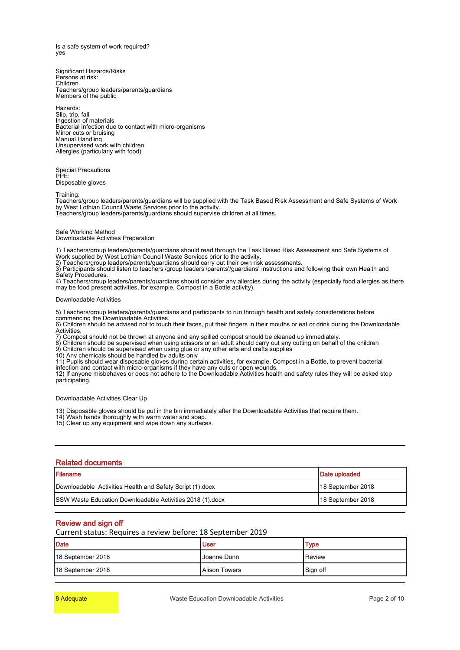Is a safe system of work required? yes

Significant Hazards/Risks Persons at risk: Children Teachers/group leaders/parents/guardians Members of the public

Hazards: Slip, trip, fall Ingestion of materials Bacterial infection due to contact with micro-organisms Minor cuts or bruising Manual Handling Unsupervised work with children Allergies (particularly with food)

Special Precautions PPE: Disposable gloves

Training:

Teachers/group leaders/parents/guardians will be supplied with the Task Based Risk Assessment and Safe Systems of Work by West Lothian Council Waste Services prior to the activity.

Teachers/group leaders/parents/guardians should supervise children at all times.

#### Safe Working Method

Downloadable Activities Preparation

1) Teachers/group leaders/parents/guardians should read through the Task Based Risk Assessment and Safe Systems of Work supplied by West Lothian Council Waste Services prior to the activity.

2) Teachers/group leaders/parents/guardians should carry out their own risk assessments.

3) Participants should listen to teachers'/group leaders'/parents'/guardians' instructions and following their own Health and Safety Procedures.

4) Teachers/group leaders/parents/guardians should consider any allergies during the activity (especially food allergies as there may be food present activities, for example, Compost in a Bottle activity).

#### Downloadable Activities

5) Teachers/group leaders/parents/guardians and participants to run through health and safety considerations before

commencing the Downloadable Activities.

6) Children should be advised not to touch their faces, put their fingers in their mouths or eat or drink during the Downloadable Activities.

7) Compost should not be thrown at anyone and any spilled compost should be cleaned up immediately.

8) Children should be supervised when using scissors or an adult should carry out any cutting on behalf of the children 9) Children should be supervised when using glue or any other arts and crafts supplies

10) Any chemicals should be handled by adults only

11) Pupils should wear disposable gloves during certain activities, for example, Compost in a Bottle, to prevent bacterial infection and contact with micro-organisms if they have any cuts or open wounds.

12) If anyone misbehaves or does not adhere to the Downloadable Activities health and safety rules they will be asked stop participating.

Downloadable Activities Clear Up

13) Disposable gloves should be put in the bin immediately after the Downloadable Activities that require them.

14) Wash hands thoroughly with warm water and soap. 15) Clear up any equipment and wipe down any surfaces.

#### **Related documents**

| <b>Filename</b>                                            | Date uploaded     |
|------------------------------------------------------------|-------------------|
| Downloadable Activities Health and Safety Script (1) docx  | 18 September 2018 |
| ISSW Waste Education Downloadable Activities 2018 (1).docx | 18 September 2018 |

### **Review and sign off**

Current status: Requires a review before: 18 September 2019

| Date              | <b>User</b>            | <b>Type</b> |
|-------------------|------------------------|-------------|
| 18 September 2018 | Joanne Dunn            | Review      |
| 18 September 2018 | <b>I</b> Alison Towers | Sign off    |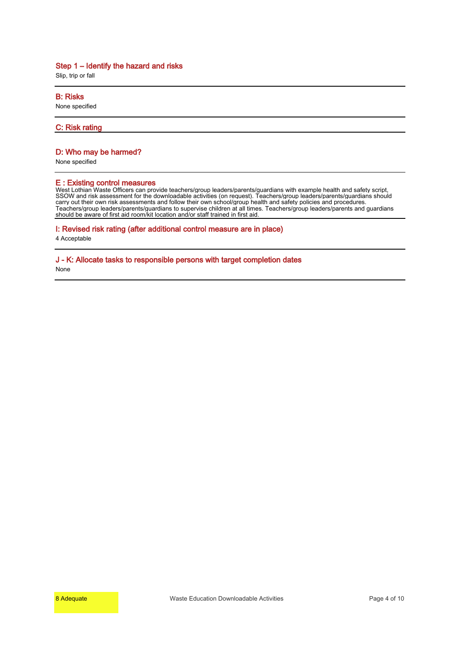Slip, trip or fall

#### **B: Risks**

None specified

#### **C: Risk rating**

#### **D: Who may be harmed?**

None specified

#### **E : Existing control measures**

West Lothian Waste Officers can provide teachers/group leaders/parents/guardians with example health and safety script, SSOW and risk assessment for the downloadable activities (on request). Teachers/group leaders/parents/guardians should carry out their own risk assessments and follow their own school/group health and safety policies and procedures. Teachers/group leaders/parents/guardians to supervise children at all times. Teachers/group leaders/parents and guardians should be aware of first aid room/kit location and/or staff trained in first aid.

#### **I: Revised risk rating (after additional control measure are in place)**

4 Acceptable

# **J - K: Allocate tasks to responsible persons with target completion dates**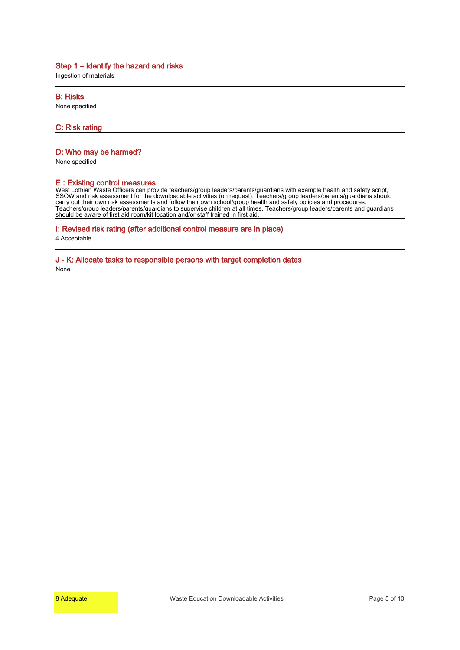Ingestion of materials

#### **B: Risks**

None specified

#### **C: Risk rating**

#### **D: Who may be harmed?**

None specified

#### **E : Existing control measures**

West Lothian Waste Officers can provide teachers/group leaders/parents/guardians with example health and safety script, SSOW and risk assessment for the downloadable activities (on request). Teachers/group leaders/parents/guardians should carry out their own risk assessments and follow their own school/group health and safety policies and procedures. Teachers/group leaders/parents/guardians to supervise children at all times. Teachers/group leaders/parents and guardians should be aware of first aid room/kit location and/or staff trained in first aid.

#### **I: Revised risk rating (after additional control measure are in place)**

4 Acceptable

# **J - K: Allocate tasks to responsible persons with target completion dates**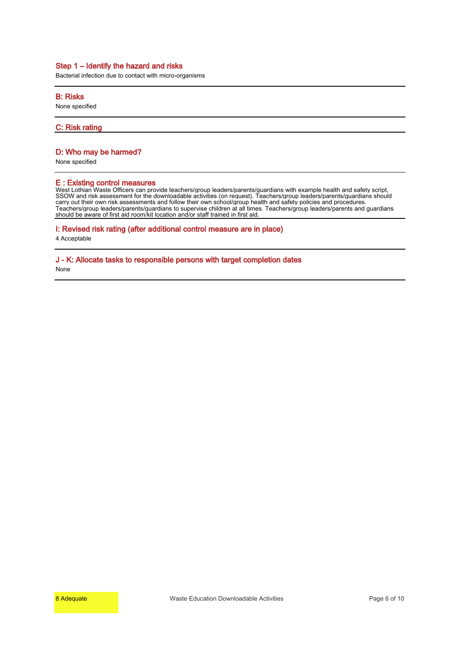Bacterial infection due to contact with micro-organisms

#### **B: Risks**

None specified

**C: Risk rating**

#### **D: Who may be harmed?**

None specified

#### **E : Existing control measures**

West Lothian Waste Officers can provide teachers/group leaders/parents/guardians with example health and safety script, SSOW and risk assessment for the downloadable activities (on request). Teachers/group leaders/parents/guardians should carry out their own risk assessments and follow their own school/group health and safety policies and procedures. Teachers/group leaders/parents/guardians to supervise children at all times. Teachers/group leaders/parents and guardians should be aware of first aid room/kit location and/or staff trained in first aid.

#### **I: Revised risk rating (after additional control measure are in place)**

4 Acceptable

# **J - K: Allocate tasks to responsible persons with target completion dates**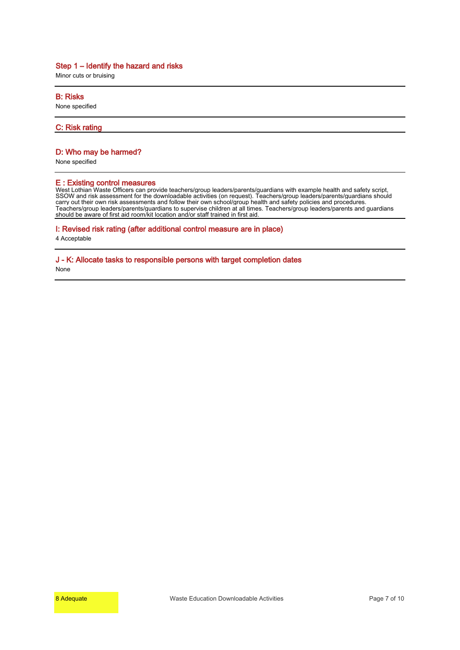Minor cuts or bruising

#### **B: Risks**

None specified

#### **C: Risk rating**

#### **D: Who may be harmed?**

None specified

#### **E : Existing control measures**

West Lothian Waste Officers can provide teachers/group leaders/parents/guardians with example health and safety script, SSOW and risk assessment for the downloadable activities (on request). Teachers/group leaders/parents/guardians should carry out their own risk assessments and follow their own school/group health and safety policies and procedures. Teachers/group leaders/parents/guardians to supervise children at all times. Teachers/group leaders/parents and guardians should be aware of first aid room/kit location and/or staff trained in first aid.

#### **I: Revised risk rating (after additional control measure are in place)**

4 Acceptable

# **J - K: Allocate tasks to responsible persons with target completion dates**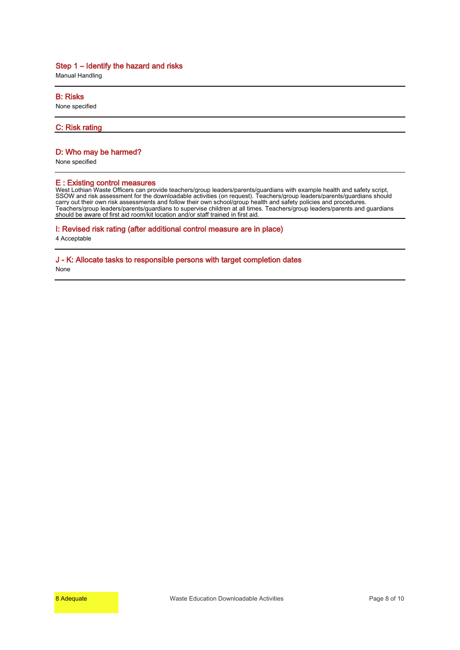Manual Handling

#### **B: Risks**

None specified

#### **C: Risk rating**

#### **D: Who may be harmed?**

None specified

#### **E : Existing control measures**

West Lothian Waste Officers can provide teachers/group leaders/parents/guardians with example health and safety script, SSOW and risk assessment for the downloadable activities (on request). Teachers/group leaders/parents/guardians should carry out their own risk assessments and follow their own school/group health and safety policies and procedures. Teachers/group leaders/parents/guardians to supervise children at all times. Teachers/group leaders/parents and guardians should be aware of first aid room/kit location and/or staff trained in first aid.

#### **I: Revised risk rating (after additional control measure are in place)**

4 Acceptable

# **J - K: Allocate tasks to responsible persons with target completion dates**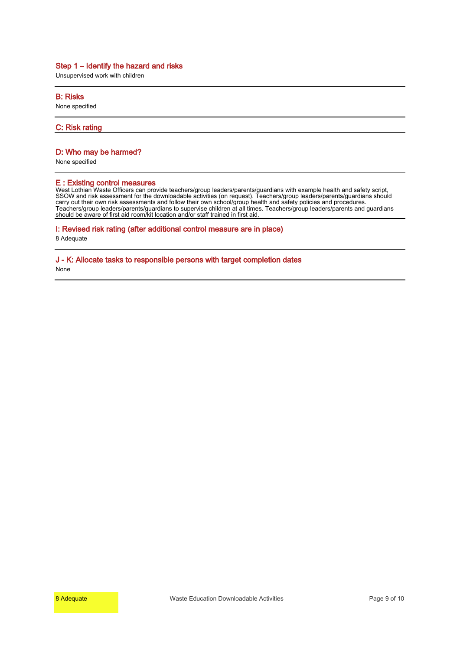Unsupervised work with children

#### **B: Risks**

None specified

#### **C: Risk rating**

#### **D: Who may be harmed?**

None specified

#### **E : Existing control measures**

West Lothian Waste Officers can provide teachers/group leaders/parents/guardians with example health and safety script, SSOW and risk assessment for the downloadable activities (on request). Teachers/group leaders/parents/guardians should carry out their own risk assessments and follow their own school/group health and safety policies and procedures. Teachers/group leaders/parents/guardians to supervise children at all times. Teachers/group leaders/parents and guardians should be aware of first aid room/kit location and/or staff trained in first aid.

#### **I: Revised risk rating (after additional control measure are in place)**

8 Adequate

# **J - K: Allocate tasks to responsible persons with target completion dates**